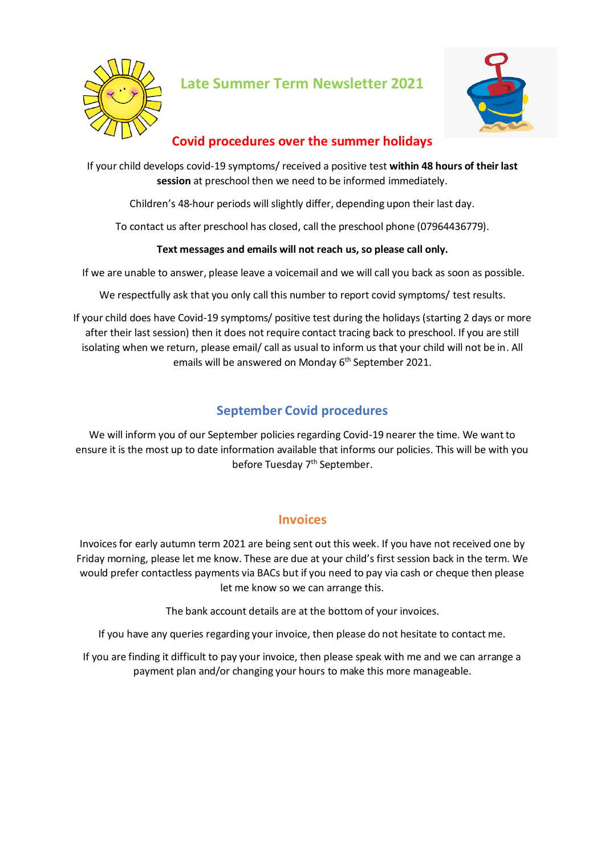

**Late Summer Term Newsletter 2021**



## **Covid procedures over the summer holidays**

If your child develops covid-19 symptoms/ received a positive test **within 48 hours of their last session** at preschool then we need to be informed immediately.

Children's 48-hour periods will slightly differ, depending upon their last day.

To contact us after preschool has closed, call the preschool phone (07964436779).

#### **Text messages and emails will not reach us, so please call only.**

If we are unable to answer, please leave a voicemail and we will call you back as soon as possible.

We respectfully ask that you only call this number to report covid symptoms/ test results.

If your child does have Covid-19 symptoms/ positive test during the holidays(starting 2 days or more after their last session) then it does not require contact tracing back to preschool. If you are still isolating when we return, please email/ call as usual to inform us that your child will not be in. All emails will be answered on Monday 6<sup>th</sup> September 2021.

### **September Covid procedures**

We will inform you of our September policies regarding Covid-19 nearer the time. We want to ensure it is the most up to date information available that informs our policies. This will be with you before Tuesday 7<sup>th</sup> September.

#### **Invoices**

Invoices for early autumn term 2021 are being sent out this week. If you have not received one by Friday morning, please let me know. These are due at your child's first session back in the term. We would prefer contactless payments via BACs but if you need to pay via cash or cheque then please let me know so we can arrange this.

The bank account details are at the bottom of your invoices.

If you have any queries regarding your invoice, then please do not hesitate to contact me.

If you are finding it difficult to pay your invoice, then please speak with me and we can arrange a payment plan and/or changing your hours to make this more manageable.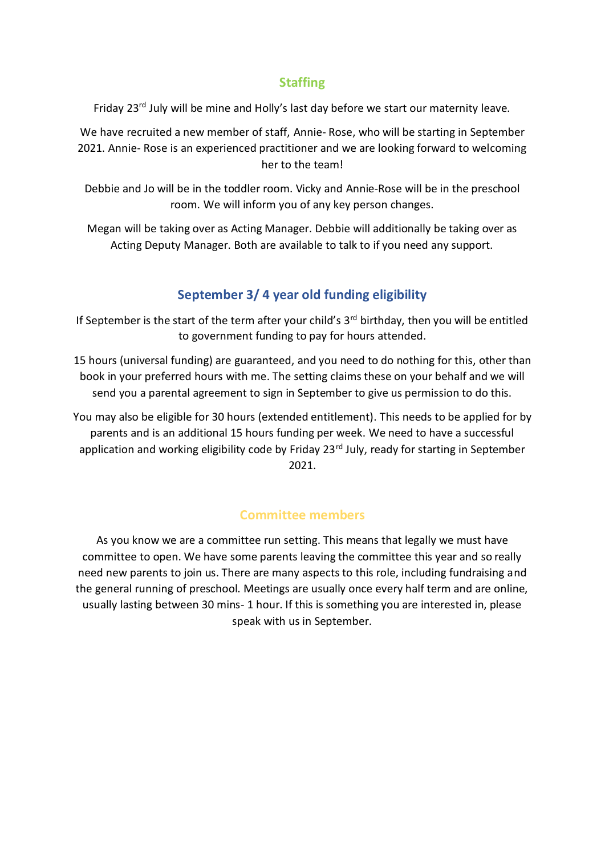### **Staffing**

Friday 23rd July will be mine and Holly's last day before we start our maternity leave.

We have recruited a new member of staff, Annie- Rose, who will be starting in September 2021. Annie- Rose is an experienced practitioner and we are looking forward to welcoming her to the team!

Debbie and Jo will be in the toddler room. Vicky and Annie-Rose will be in the preschool room. We will inform you of any key person changes.

Megan will be taking over as Acting Manager. Debbie will additionally be taking over as Acting Deputy Manager. Both are available to talk to if you need any support.

# **September 3/ 4 year old funding eligibility**

If September is the start of the term after your child's  $3<sup>rd</sup>$  birthday, then you will be entitled to government funding to pay for hours attended.

15 hours (universal funding) are guaranteed, and you need to do nothing for this, other than book in your preferred hours with me. The setting claims these on your behalf and we will send you a parental agreement to sign in September to give us permission to do this.

You may also be eligible for 30 hours (extended entitlement). This needs to be applied for by parents and is an additional 15 hours funding per week. We need to have a successful application and working eligibility code by Friday 23<sup>rd</sup> July, ready for starting in September 2021.

#### **Committee members**

As you know we are a committee run setting. This means that legally we must have committee to open. We have some parents leaving the committee this year and so really need new parents to join us. There are many aspects to this role, including fundraising and the general running of preschool. Meetings are usually once every half term and are online, usually lasting between 30 mins- 1 hour. If this is something you are interested in, please speak with us in September.